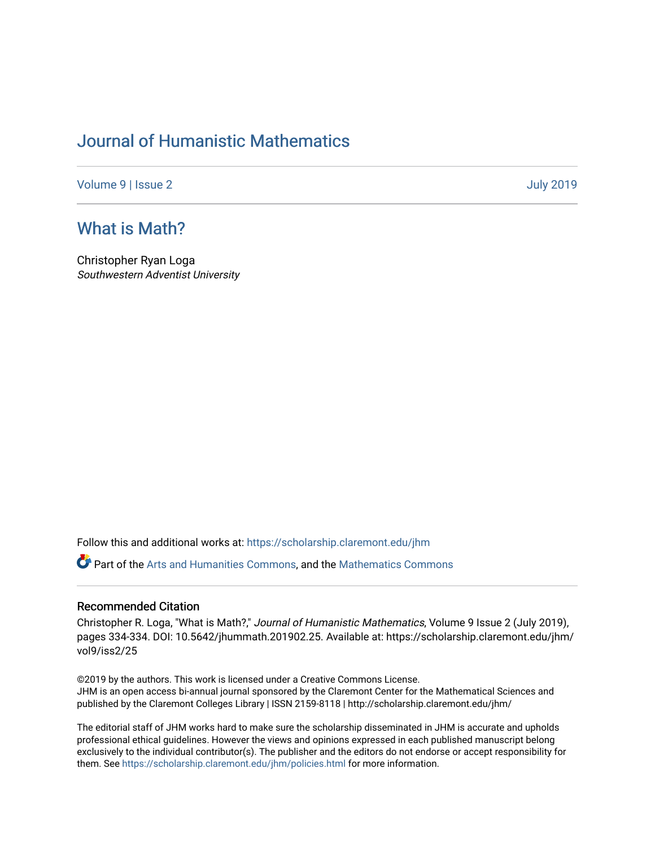## [Journal of Humanistic Mathematics](https://scholarship.claremont.edu/jhm)

[Volume 9](https://scholarship.claremont.edu/jhm/vol9) | [Issue 2](https://scholarship.claremont.edu/jhm/vol9/iss2) [July 2019](https://scholarship.claremont.edu/jhm/vol9/iss2) 

## [What is Math?](https://scholarship.claremont.edu/jhm/vol9/iss2/25)

Christopher Ryan Loga Southwestern Adventist University

Follow this and additional works at: [https://scholarship.claremont.edu/jhm](https://scholarship.claremont.edu/jhm?utm_source=scholarship.claremont.edu%2Fjhm%2Fvol9%2Fiss2%2F25&utm_medium=PDF&utm_campaign=PDFCoverPages)

Part of the [Arts and Humanities Commons,](http://network.bepress.com/hgg/discipline/438?utm_source=scholarship.claremont.edu%2Fjhm%2Fvol9%2Fiss2%2F25&utm_medium=PDF&utm_campaign=PDFCoverPages) and the [Mathematics Commons](http://network.bepress.com/hgg/discipline/174?utm_source=scholarship.claremont.edu%2Fjhm%2Fvol9%2Fiss2%2F25&utm_medium=PDF&utm_campaign=PDFCoverPages) 

## Recommended Citation

Christopher R. Loga, "What is Math?," Journal of Humanistic Mathematics, Volume 9 Issue 2 (July 2019), pages 334-334. DOI: 10.5642/jhummath.201902.25. Available at: https://scholarship.claremont.edu/jhm/ vol9/iss2/25

©2019 by the authors. This work is licensed under a Creative Commons License. JHM is an open access bi-annual journal sponsored by the Claremont Center for the Mathematical Sciences and published by the Claremont Colleges Library | ISSN 2159-8118 | http://scholarship.claremont.edu/jhm/

The editorial staff of JHM works hard to make sure the scholarship disseminated in JHM is accurate and upholds professional ethical guidelines. However the views and opinions expressed in each published manuscript belong exclusively to the individual contributor(s). The publisher and the editors do not endorse or accept responsibility for them. See<https://scholarship.claremont.edu/jhm/policies.html> for more information.